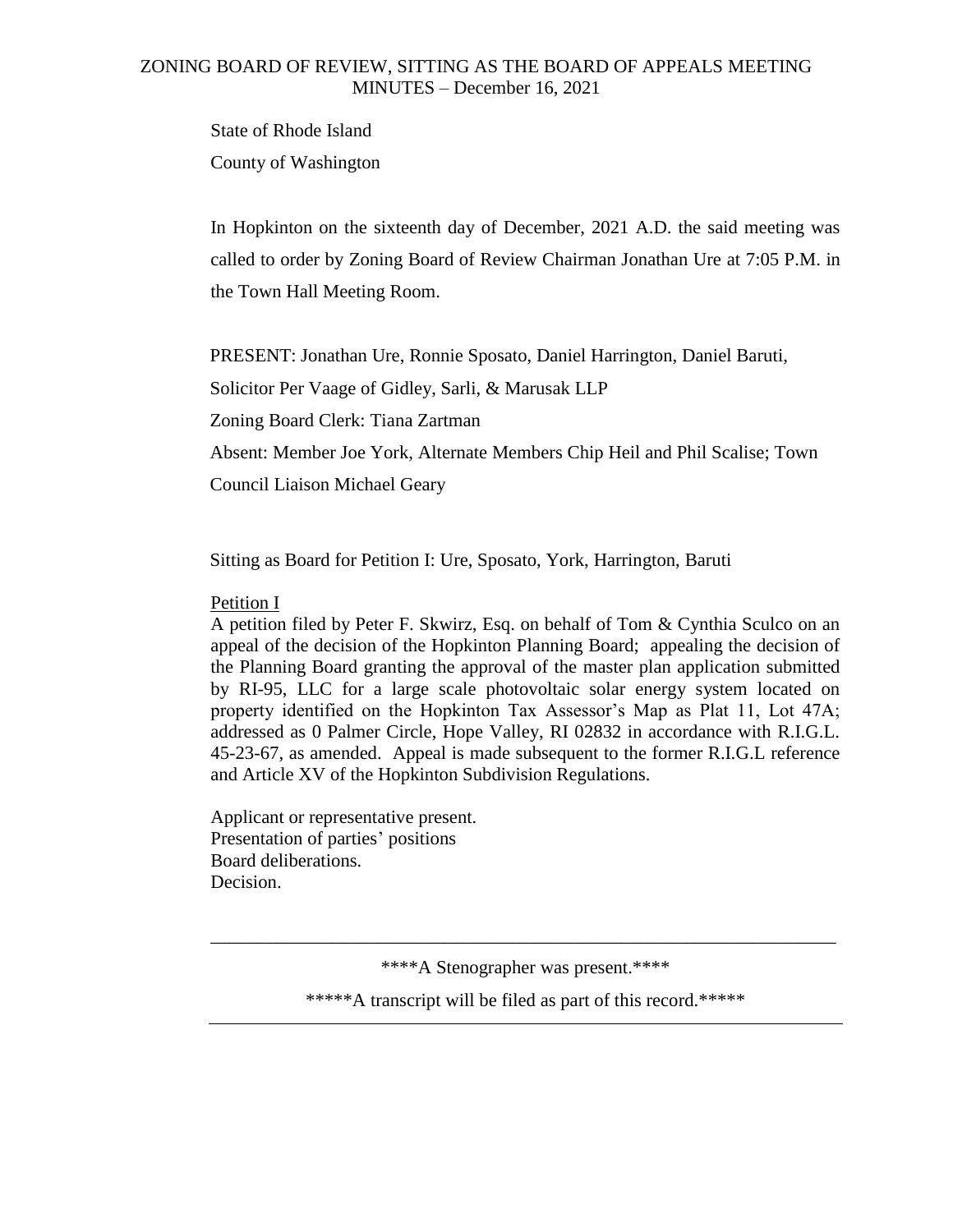## ZONING BOARD OF REVIEW, SITTING AS THE BOARD OF APPEALS MEETING MINUTES – December 16, 2021

State of Rhode Island County of Washington

In Hopkinton on the sixteenth day of December, 2021 A.D. the said meeting was called to order by Zoning Board of Review Chairman Jonathan Ure at 7:05 P.M. in the Town Hall Meeting Room.

PRESENT: Jonathan Ure, Ronnie Sposato, Daniel Harrington, Daniel Baruti,

Solicitor Per Vaage of Gidley, Sarli, & Marusak LLP

Zoning Board Clerk: Tiana Zartman

Absent: Member Joe York, Alternate Members Chip Heil and Phil Scalise; Town

Council Liaison Michael Geary

Sitting as Board for Petition I: Ure, Sposato, York, Harrington, Baruti

## Petition I

A petition filed by Peter F. Skwirz, Esq. on behalf of Tom & Cynthia Sculco on an appeal of the decision of the Hopkinton Planning Board; appealing the decision of the Planning Board granting the approval of the master plan application submitted by RI-95, LLC for a large scale photovoltaic solar energy system located on property identified on the Hopkinton Tax Assessor's Map as Plat 11, Lot 47A; addressed as 0 Palmer Circle, Hope Valley, RI 02832 in accordance with R.I.G.L. 45-23-67, as amended. Appeal is made subsequent to the former R.I.G.L reference and Article XV of the Hopkinton Subdivision Regulations.

Applicant or representative present. Presentation of parties' positions Board deliberations. Decision.

\*\*\*\*A Stenographer was present.\*\*\*\*

\_\_\_\_\_\_\_\_\_\_\_\_\_\_\_\_\_\_\_\_\_\_\_\_\_\_\_\_\_\_\_\_\_\_\_\_\_\_\_\_\_\_\_\_\_\_\_\_\_\_\_\_\_\_\_\_\_\_\_\_\_\_\_\_\_\_\_

\*\*\*\*\*A transcript will be filed as part of this record.\*\*\*\*\*